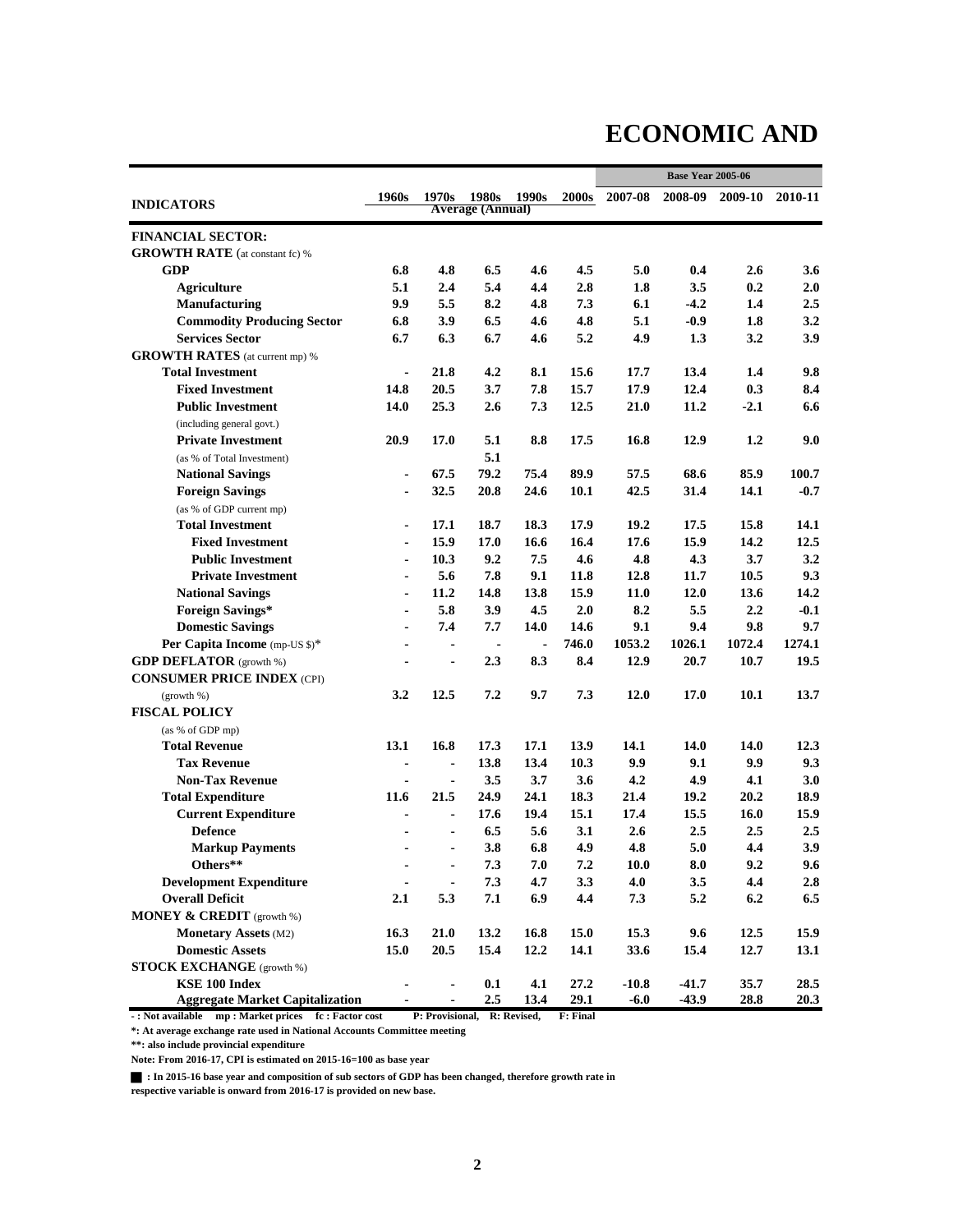### **ECONOMIC AND**

|                                              |                          |                |                         |                |       | <b>Base Year 2005-06</b> |             |             |         |  |
|----------------------------------------------|--------------------------|----------------|-------------------------|----------------|-------|--------------------------|-------------|-------------|---------|--|
|                                              | 1960s                    | 1970s          | 1980s                   | 1990s          | 2000s | 2007-08                  | 2008-09     | 2009-10     | 2010-11 |  |
| <b>INDICATORS</b>                            |                          |                | <b>Average (Annual)</b> |                |       |                          |             |             |         |  |
| <b>FINANCIAL SECTOR:</b>                     |                          |                |                         |                |       |                          |             |             |         |  |
| <b>GROWTH RATE</b> (at constant fc) %        |                          |                |                         |                |       |                          |             |             |         |  |
| <b>GDP</b>                                   | 6.8                      | 4.8            | 6.5                     | 4.6            | 4.5   | 5.0                      | 0.4         | 2.6         | 3.6     |  |
| <b>Agriculture</b>                           | 5.1                      | 2.4            | 5.4                     | 4,4            | 2.8   | 1.8                      | 3.5         | 0.2         | 2.0     |  |
| <b>Manufacturing</b>                         | 9.9                      | 5.5            | 8.2                     | 4.8            | 7.3   | 6.1                      | $-4.2$      | 1.4         | 2.5     |  |
| <b>Commodity Producing Sector</b>            | 6.8                      | 3.9            | 6.5                     | 4.6            | 4.8   | 5.1                      | $-0.9$      | 1.8         | 3.2     |  |
| <b>Services Sector</b>                       | 6.7                      | 6.3            | 6.7                     | 4.6            | 5.2   | 4.9                      | 1.3         | 3.2         | 3.9     |  |
| <b>GROWTH RATES</b> (at current mp) %        |                          |                |                         |                |       |                          |             |             |         |  |
| <b>Total Investment</b>                      | ۰                        | 21.8           | 4.2                     | 8.1            | 15.6  | 17.7                     | 13.4        | 1.4         | 9.8     |  |
| <b>Fixed Investment</b>                      | 14.8                     | 20.5           | 3.7                     | 7.8            | 15.7  | 17.9                     | 12.4        | 0.3         | 8.4     |  |
| <b>Public Investment</b>                     | 14.0                     | 25.3           | 2.6                     | 7.3            | 12.5  | 21.0                     | 11.2        | $-2.1$      | 6.6     |  |
| (including general govt.)                    |                          |                |                         |                |       |                          |             |             |         |  |
| <b>Private Investment</b>                    | 20.9                     | 17.0           | 5.1                     | 8.8            | 17.5  | 16.8                     | 12.9        | 1.2         | 9.0     |  |
| (as % of Total Investment)                   |                          |                | 5.1                     |                |       |                          |             |             |         |  |
| <b>National Savings</b>                      | ۰                        | 67.5           | 79.2                    | 75.4           | 89.9  | 57.5                     | 68.6        | 85.9        | 100.7   |  |
| <b>Foreign Savings</b>                       | $\overline{\phantom{0}}$ | 32.5           | 20.8                    | 24.6           | 10.1  | 42.5                     | 31.4        | 14.1        | $-0.7$  |  |
| (as % of GDP current mp)                     |                          |                |                         |                |       |                          |             |             |         |  |
| <b>Total Investment</b>                      | $\blacksquare$           | 17.1           | 18.7                    | 18.3           | 17.9  | 19.2                     | 17.5        | 15.8        | 14.1    |  |
| <b>Fixed Investment</b>                      | $\blacksquare$           | 15.9           | 17.0                    | 16.6           | 16.4  | 17.6                     | 15.9        | 14.2        | 12.5    |  |
| <b>Public Investment</b>                     | $\blacksquare$           | 10.3           | 9.2                     | 7.5            | 4.6   | 4.8                      | 4.3         | 3.7         | 3.2     |  |
| <b>Private Investment</b>                    |                          | 5.6            | 7.8                     | 9.1            | 11.8  | 12.8                     | 11.7        | 10.5        | 9.3     |  |
| <b>National Savings</b>                      |                          | 11.2           | 14.8                    | 13.8           | 15.9  | 11.0                     | 12.0        | 13.6        | 14.2    |  |
| <b>Foreign Savings*</b>                      | ä,                       | 5.8            | 3.9                     | 4.5            | 2.0   | 8.2                      | 5.5         | 2.2         | $-0.1$  |  |
| <b>Domestic Savings</b>                      |                          | 7.4            | 7.7                     | 14.0           | 14.6  | 9.1                      | 9.4         | 9.8         | 9.7     |  |
| Per Capita Income (mp-US \$)*                |                          | $\blacksquare$ | $\blacksquare$          | $\blacksquare$ | 746.0 | 1053.2                   | 1026.1      | 1072.4      | 1274.1  |  |
| <b>GDP DEFLATOR</b> (growth %)               |                          | $\blacksquare$ | 2.3                     | 8.3            | 8.4   | 12.9                     | 20.7        | 10.7        | 19.5    |  |
| <b>CONSUMER PRICE INDEX (CPI)</b>            |                          |                |                         |                |       |                          |             |             |         |  |
| (growth %)                                   | 3.2                      | 12.5           | 7.2                     | 9.7            | 7.3   | 12.0                     | 17.0        | 10.1        | 13.7    |  |
| <b>FISCAL POLICY</b>                         |                          |                |                         |                |       |                          |             |             |         |  |
| (as % of GDP mp)                             |                          |                |                         |                |       |                          |             |             |         |  |
| Total Revenue                                | 13.1                     | 16.8           | 17.3                    | 17.1           | 13.9  | 14.1                     | 14.0        | 14.0        | 12.3    |  |
| <b>Tax Revenue</b>                           |                          |                | 13.8                    | 13.4           | 10.3  | 9.9                      | 9.1         | 9.9         | 9.3     |  |
| <b>Non-Tax Revenue</b>                       | ۰                        | $\blacksquare$ | 3.5                     | 3.7            | 3.6   | 4.2                      | 4.9         | 4.1         | 3.0     |  |
| <b>Total Expenditure</b>                     | 11.6                     | 21.5           | 24.9                    | 24.1           | 18.3  | 21.4                     | 19.2        | 20.2        | 18.9    |  |
|                                              |                          |                | 17.6                    | 19.4           | 15.1  |                          |             |             |         |  |
| <b>Current Expenditure</b><br><b>Defence</b> |                          |                | 6.5                     | 5.6            | 3.1   | 17.4<br>2.6              | 15.5<br>2.5 | 16.0<br>2.5 | 15.9    |  |
|                                              |                          |                |                         |                |       |                          |             |             | 2.5     |  |
| <b>Markup Payments</b><br>Others**           |                          | $\blacksquare$ | 3.8                     | 6.8            | 4.9   | 4.8                      | 5.0         | 4.4         | 3.9     |  |
|                                              |                          | $\blacksquare$ | 7.3                     | 7.0            | 7.2   | 10.0                     | 8.0         | 9.2         | 9.6     |  |
| <b>Development Expenditure</b>               |                          |                | 7.3                     | 4.7            | 3.3   | 4.0                      | 3.5         | 4.4         | 2.8     |  |
| <b>Overall Deficit</b>                       | 2.1                      | 5.3            | 7.1                     | 6.9            | 4.4   | 7.3                      | 5.2         | 6.2         | 6.5     |  |
| <b>MONEY &amp; CREDIT</b> (growth %)         |                          |                |                         |                |       |                          |             |             |         |  |
| <b>Monetary Assets (M2)</b>                  | 16.3                     | 21.0           | 13.2                    | 16.8           | 15.0  | 15.3                     | 9.6         | 12.5        | 15.9    |  |
| <b>Domestic Assets</b>                       | 15.0                     | 20.5           | 15.4                    | 12.2           | 14.1  | 33.6                     | 15.4        | 12.7        | 13.1    |  |
| <b>STOCK EXCHANGE</b> (growth %)             |                          |                |                         |                |       |                          |             |             |         |  |
| KSE 100 Index                                |                          |                | 0.1                     | 4.1            | 27.2  | $-10.8$                  | $-41.7$     | 35.7        | 28.5    |  |
| <b>Aggregate Market Capitalization</b>       |                          |                | 2.5                     | 13.4           | 29.1  | $-6.0$                   | $-43.9$     | 28.8        | 20.3    |  |

**- : Not available mp : Market prices fc : Factor cost P: Provisional, R: Revised, F: Final**

**\*: At average exchange rate used in National Accounts Committee meeting**

**\*\*: also include provincial expenditure**

**Note: From 2016-17, CPI is estimated on 2015-16=100 as base year**

g **: In 2015-16 base year and composition of sub sectors of GDP has been changed, therefore growth rate in** 

**respective variable is onward from 2016-17 is provided on new base.**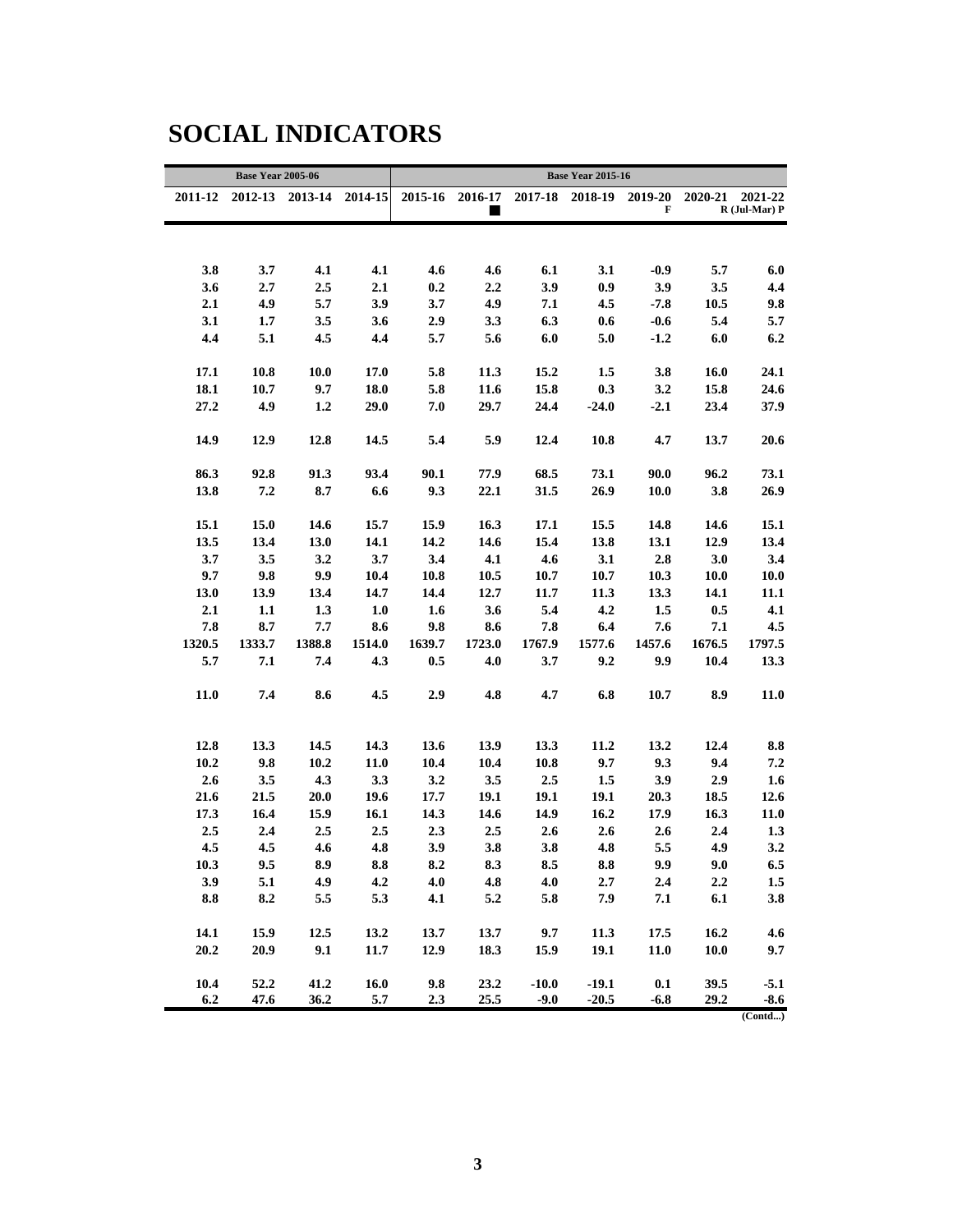#### **SOCIAL INDICATORS**

|           | <b>Base Year 2005-06</b> |                 |             | <b>Base Year 2015-16</b> |         |         |                         |        |         |                   |  |  |  |
|-----------|--------------------------|-----------------|-------------|--------------------------|---------|---------|-------------------------|--------|---------|-------------------|--|--|--|
| 2011-12   |                          | 2012-13 2013-14 | $2014 - 15$ | 2015-16                  | 2016-17 |         | 2017-18 2018-19 2019-20 |        | 2020-21 | 2021-22           |  |  |  |
|           |                          |                 |             |                          |         |         |                         | F      |         | $R$ (Jul-Mar) $P$ |  |  |  |
|           |                          |                 |             |                          |         |         |                         |        |         |                   |  |  |  |
|           |                          |                 |             |                          |         |         |                         |        |         |                   |  |  |  |
| 3.8       | 3.7                      | 4.1             | 4.1         | 4.6                      | 4.6     | 6.1     | 3.1                     | $-0.9$ | 5.7     | 6.0               |  |  |  |
| 3.6       | 2.7                      | 2.5             | 2.1         | 0.2                      | 2.2     | 3.9     | 0.9                     | 3.9    | 3.5     | 4.4               |  |  |  |
| 2.1       | 4.9                      | 5.7             | 3.9         | 3.7                      | 4.9     | 7.1     | 4.5                     | $-7.8$ | 10.5    | 9.8               |  |  |  |
| 3.1       | 1.7                      | 3.5             | 3.6         | 2.9                      | 3.3     | 6.3     | 0.6                     | $-0.6$ | 5.4     | 5.7               |  |  |  |
| 4.4       | 5.1                      | 4.5             | 4.4         | 5.7                      | 5.6     | 6.0     | 5.0                     | $-1.2$ | 6.0     | 6.2               |  |  |  |
|           |                          |                 |             |                          |         |         |                         |        |         |                   |  |  |  |
| 17.1      | 10.8                     | <b>10.0</b>     | 17.0        | 5.8                      | 11.3    | 15.2    | 1.5                     | 3.8    | 16.0    | 24.1              |  |  |  |
| 18.1      | 10.7                     | 9.7             | 18.0        | 5.8                      | 11.6    | 15.8    | 0.3                     | 3.2    | 15.8    | 24.6              |  |  |  |
| 27.2      | 4.9                      | 1.2             | 29.0        | 7.0                      | 29.7    | 24.4    | $-24.0$                 | $-2.1$ | 23.4    | 37.9              |  |  |  |
| 14.9      | 12.9                     | 12.8            | 14.5        | 5.4                      | 5.9     | 12.4    | 10.8                    | 4.7    | 13.7    | 20.6              |  |  |  |
|           |                          |                 |             |                          |         |         |                         |        |         |                   |  |  |  |
| 86.3      | 92.8                     | 91.3            | 93.4        | 90.1                     | 77.9    | 68.5    | 73.1                    | 90.0   | 96.2    | 73.1              |  |  |  |
| 13.8      | 7.2                      | 8.7             | 6.6         | 9.3                      | 22.1    | 31.5    | 26.9                    | 10.0   | 3.8     | 26.9              |  |  |  |
|           |                          |                 |             |                          |         |         |                         |        |         |                   |  |  |  |
| 15.1      | 15.0                     | 14.6            | 15.7        | 15.9                     | 16.3    | 17.1    | 15.5                    | 14.8   | 14.6    | 15.1              |  |  |  |
| 13.5      | 13.4                     | 13.0            | 14.1        | 14.2                     | 14.6    | 15.4    | 13.8                    | 13.1   | 12.9    | 13.4              |  |  |  |
| 3.7       | 3.5                      | 3.2             | 3.7         | 3.4                      | 4.1     | 4.6     | 3.1                     | 2.8    | 3.0     | 3.4               |  |  |  |
| 9.7       | 9.8                      | 9.9             | 10.4        | 10.8                     | 10.5    | 10.7    | 10.7                    | 10.3   | 10.0    | 10.0              |  |  |  |
| 13.0      | 13.9                     | 13.4            | 14.7        | 14.4                     | 12.7    | 11.7    | 11.3                    | 13.3   | 14.1    | 11.1              |  |  |  |
| 2.1       | 1.1                      | 1.3             | 1.0         | 1.6                      | 3.6     | 5.4     | 4.2                     | 1.5    | 0.5     | 4.1               |  |  |  |
| 7.8       | 8.7                      | 7.7             | 8.6         | 9.8                      | 8.6     | 7.8     | 6.4                     | 7.6    | 7.1     | 4.5               |  |  |  |
| 1320.5    | 1333.7                   | 1388.8          | 1514.0      | 1639.7                   | 1723.0  | 1767.9  | 1577.6                  | 1457.6 | 1676.5  | 1797.5            |  |  |  |
| 5.7       | 7.1                      | 7.4             | 4.3         | 0.5                      | 4.0     | 3.7     | 9.2                     | 9.9    | 10.4    | 13.3              |  |  |  |
|           |                          |                 |             |                          |         |         |                         |        |         |                   |  |  |  |
| 11.0      | 7.4                      | 8.6             | 4.5         | 2.9                      | 4.8     | 4.7     | 6.8                     | 10.7   | 8.9     | 11.0              |  |  |  |
|           |                          |                 |             |                          |         |         |                         |        |         |                   |  |  |  |
| 12.8      | 13.3                     | 14.5            | 14.3        | 13.6                     | 13.9    | 13.3    | 11.2                    | 13.2   | 12.4    | 8.8               |  |  |  |
| 10.2      | 9.8                      | 10.2            | <b>11.0</b> | 10.4                     | 10.4    | 10.8    | 9.7                     | 9.3    | 9.4     | 7.2               |  |  |  |
| 2.6       | 3.5                      | 4.3             | 3.3         | 3.2                      | 3.5     | 2.5     | 1.5                     | 3.9    | 2.9     | 1.6               |  |  |  |
| 21.6      | 21.5                     | 20.0            | 19.6        | 17.7                     | 19.1    | 19.1    | 19.1                    | 20.3   | 18.5    | 12.6              |  |  |  |
| 17.3      | 16.4                     | 15.9            | 16.1        | 14.3                     | 14.6    | 14.9    | 16.2                    | 17.9   | 16.3    | 11.0              |  |  |  |
| 2.5       | 2.4                      | 2.5             | 2.5         | 2.3                      | 2.5     | 2.6     | 2.6                     | 2.6    | 2.4     | 1.3               |  |  |  |
| 4.5       | 4.5                      | 4.6             | 4.8         | 3.9                      | 3.8     | 3.8     | 4.8                     | 5.5    | 4.9     | 3.2               |  |  |  |
| 10.3      | 9.5                      | 8.9             | 8.8         | 8.2                      | 8.3     | 8.5     | 8.8                     | 9.9    | 9.0     | 6.5               |  |  |  |
| 3.9       | 5.1                      | 4.9             | 4.2         | 4.0                      | 4.8     | 4.0     | 2.7                     | 2.4    | 2.2     | 1.5               |  |  |  |
| $\bf 8.8$ | 8.2                      | 5.5             | 5.3         | 4.1                      | 5.2     | 5.8     | 7.9                     | 7.1    | 6.1     | 3.8               |  |  |  |
|           |                          |                 |             |                          |         |         |                         |        |         |                   |  |  |  |
| 14.1      | 15.9                     | 12.5            | 13.2        | 13.7                     | 13.7    | 9.7     | 11.3                    | 17.5   | 16.2    | 4.6               |  |  |  |
| 20.2      | 20.9                     | 9.1             | 11.7        | 12.9                     | 18.3    | 15.9    | 19.1                    | 11.0   | 10.0    | 9.7               |  |  |  |
|           |                          |                 |             |                          |         |         |                         |        |         |                   |  |  |  |
| 10.4      | 52.2                     | 41.2            | 16.0        | 9.8                      | 23.2    | $-10.0$ | $-19.1$                 | 0.1    | 39.5    | $-5.1$            |  |  |  |
| 6.2       | 47.6                     | 36.2            | 5.7         | 2.3                      | 25.5    | $-9.0$  | $-20.5$                 | $-6.8$ | 29.2    | $-8.6$            |  |  |  |
|           |                          |                 |             |                          |         |         |                         |        |         | (Control)         |  |  |  |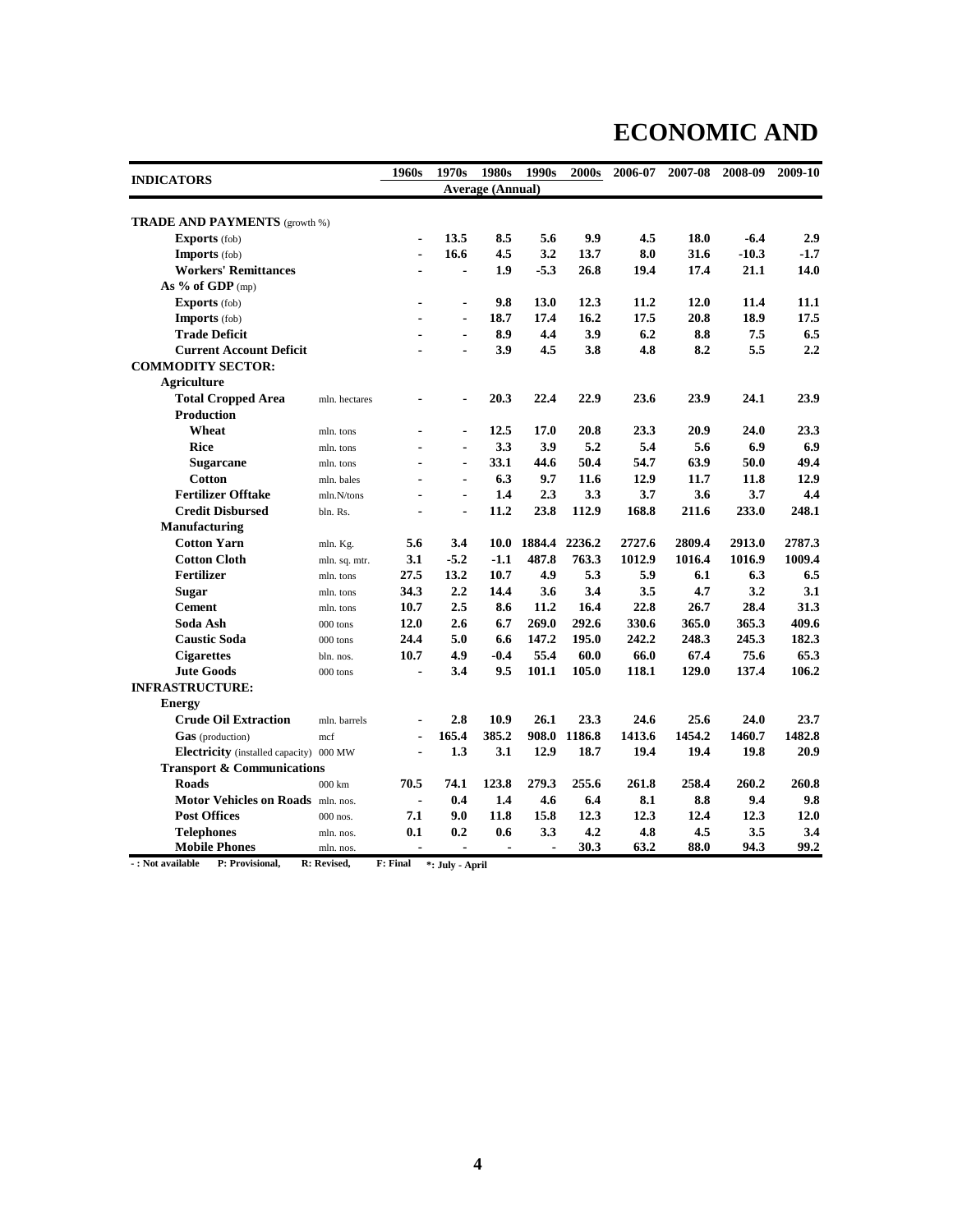# **ECONOMIC AND**

| <b>INDICATORS</b>                       |                   | 1960s          | 1970s          | 1980s                   | 1990s  | 2000s  | 2006-07 | 2007-08   | 2008-09 | 2009-10 |
|-----------------------------------------|-------------------|----------------|----------------|-------------------------|--------|--------|---------|-----------|---------|---------|
|                                         |                   |                |                | <b>Average (Annual)</b> |        |        |         |           |         |         |
|                                         |                   |                |                |                         |        |        |         |           |         |         |
| <b>TRADE AND PAYMENTS</b> (growth %)    |                   |                |                |                         |        |        |         |           |         |         |
| <b>Exports</b> (fob)                    |                   | $\blacksquare$ | 13.5           | 8.5                     | 5.6    | 9.9    | 4.5     | 18.0      | $-6.4$  | 2.9     |
| Imports (fob)                           |                   | $\blacksquare$ | 16.6           | 4.5                     | 3.2    | 13.7   | 8.0     | 31.6      | $-10.3$ | $-1.7$  |
| <b>Workers' Remittances</b>             |                   |                | $\blacksquare$ | 1.9                     | $-5.3$ | 26.8   | 19.4    | 17.4      | 21.1    | 14.0    |
| As $%$ of GDP (mp)                      |                   |                |                |                         |        |        |         |           |         |         |
| <b>Exports</b> (fob)                    |                   | $\blacksquare$ | $\blacksquare$ | 9.8                     | 13.0   | 12.3   | 11.2    | 12.0      | 11.4    | 11.1    |
| Imports (fob)                           |                   |                | $\blacksquare$ | 18.7                    | 17.4   | 16.2   | 17.5    | 20.8      | 18.9    | 17.5    |
| <b>Trade Deficit</b>                    |                   |                | $\blacksquare$ | 8.9                     | 4.4    | 3.9    | 6.2     | 8.8       | 7.5     | 6.5     |
| <b>Current Account Deficit</b>          |                   |                |                | 3.9                     | 4.5    | 3.8    | 4.8     | 8.2       | 5.5     | 2.2     |
| <b>COMMODITY SECTOR:</b>                |                   |                |                |                         |        |        |         |           |         |         |
| <b>Agriculture</b>                      |                   |                |                |                         |        |        |         |           |         |         |
| <b>Total Cropped Area</b>               | mln. hectares     |                | ۰              | 20.3                    | 22.4   | 22.9   | 23.6    | 23.9      | 24.1    | 23.9    |
| <b>Production</b>                       |                   |                |                |                         |        |        |         |           |         |         |
| Wheat                                   | mln. tons         | ä,             | ٠              | 12.5                    | 17.0   | 20.8   | 23.3    | 20.9      | 24.0    | 23.3    |
| <b>Rice</b>                             | mln. tons         |                | $\blacksquare$ | 3.3                     | 3.9    | 5.2    | 5.4     | 5.6       | 6.9     | 6.9     |
| <b>Sugarcane</b>                        | mln. tons         | ä,             | $\blacksquare$ | 33.1                    | 44.6   | 50.4   | 54.7    | 63.9      | 50.0    | 49.4    |
| <b>Cotton</b>                           | mln. bales        | ۰              | $\blacksquare$ | 6.3                     | 9.7    | 11.6   | 12.9    | 11.7      | 11.8    | 12.9    |
| <b>Fertilizer Offtake</b>               | mln.N/tons        | $\blacksquare$ | $\blacksquare$ | 1.4                     | 2.3    | 3.3    | 3.7     | 3.6       | 3.7     | 4.4     |
| <b>Credit Disbursed</b>                 | bln. Rs.          | $\blacksquare$ | $\blacksquare$ | 11.2                    | 23.8   | 112.9  | 168.8   | 211.6     | 233.0   | 248.1   |
| Manufacturing                           |                   |                |                |                         |        |        |         |           |         |         |
| <b>Cotton Yarn</b>                      | mln. Kg.          | 5.6            | 3.4            | <b>10.0</b>             | 1884.4 | 2236.2 | 2727.6  | 2809.4    | 2913.0  | 2787.3  |
| <b>Cotton Cloth</b>                     | mln. sq. mtr.     | 3.1            | $-5.2$         | $-1.1$                  | 487.8  | 763.3  | 1012.9  | 1016.4    | 1016.9  | 1009.4  |
| Fertilizer                              | mln. tons         | 27.5           | 13.2           | 10.7                    | 4.9    | 5.3    | 5.9     | 6.1       | 6.3     | 6.5     |
| <b>Sugar</b>                            | mln. tons         | 34.3           | 2.2            | 14.4                    | 3.6    | 3.4    | 3.5     | 4.7       | 3.2     | 3.1     |
| <b>Cement</b>                           | mln. tons         | 10.7           | 2.5            | 8.6                     | 11.2   | 16.4   | 22.8    | 26.7      | 28.4    | 31.3    |
| Soda Ash                                | 000 tons          | 12.0           | 2.6            | 6.7                     | 269.0  | 292.6  | 330.6   | 365.0     | 365.3   | 409.6   |
| <b>Caustic Soda</b>                     | 000 tons          | 24.4           | 5.0            | 6.6                     | 147.2  | 195.0  | 242.2   | 248.3     | 245.3   | 182.3   |
| <b>Cigarettes</b>                       | bln. nos.         | 10.7           | 4.9            | $-0.4$                  | 55.4   | 60.0   | 66.0    | 67.4      | 75.6    | 65.3    |
| <b>Jute Goods</b>                       | 000 tons          |                | 3.4            | 9.5                     | 101.1  | 105.0  | 118.1   | 129.0     | 137.4   | 106.2   |
| <b>INFRASTRUCTURE:</b>                  |                   |                |                |                         |        |        |         |           |         |         |
| <b>Energy</b>                           |                   |                |                |                         |        |        |         |           |         |         |
| <b>Crude Oil Extraction</b>             | mln. barrels      | $\blacksquare$ | 2.8            | 10.9                    | 26.1   | 23.3   | 24.6    | 25.6      | 24.0    | 23.7    |
| Gas (production)                        | mcf               |                | 165.4          | 385.2                   | 908.0  | 1186.8 | 1413.6  | 1454.2    | 1460.7  | 1482.8  |
| Electricity (installed capacity) 000 MW |                   |                | 1.3            | 3.1                     | 12.9   | 18.7   | 19.4    | 19.4      | 19.8    | 20.9    |
| <b>Transport &amp; Communications</b>   |                   |                |                |                         |        |        |         |           |         |         |
| <b>Roads</b>                            | $000 \mathrm{km}$ | 70.5           | 74.1           | 123.8                   | 279.3  | 255.6  | 261.8   | 258.4     | 260.2   | 260.8   |
| Motor Vehicles on Roads mln. nos.       |                   |                | 0.4            | 1.4                     | 4.6    | 6.4    | 8.1     | $\bf 8.8$ | 9.4     | 9.8     |
| <b>Post Offices</b>                     | 000 nos.          | 7.1            | 9.0            | 11.8                    | 15.8   | 12.3   | 12.3    | 12.4      | 12.3    | 12.0    |
| <b>Telephones</b>                       | mln. nos.         | 0.1            | 0.2            | 0.6                     | 3.3    | 4.2    | 4.8     | 4.5       | 3.5     | 3.4     |
| <b>Mobile Phones</b>                    | mln. nos.         |                |                |                         |        | 30.3   | 63.2    | 88.0      | 94.3    | 99.2    |

**- : Not available P: Provisional, R: Revised, F: Final \*: July - April**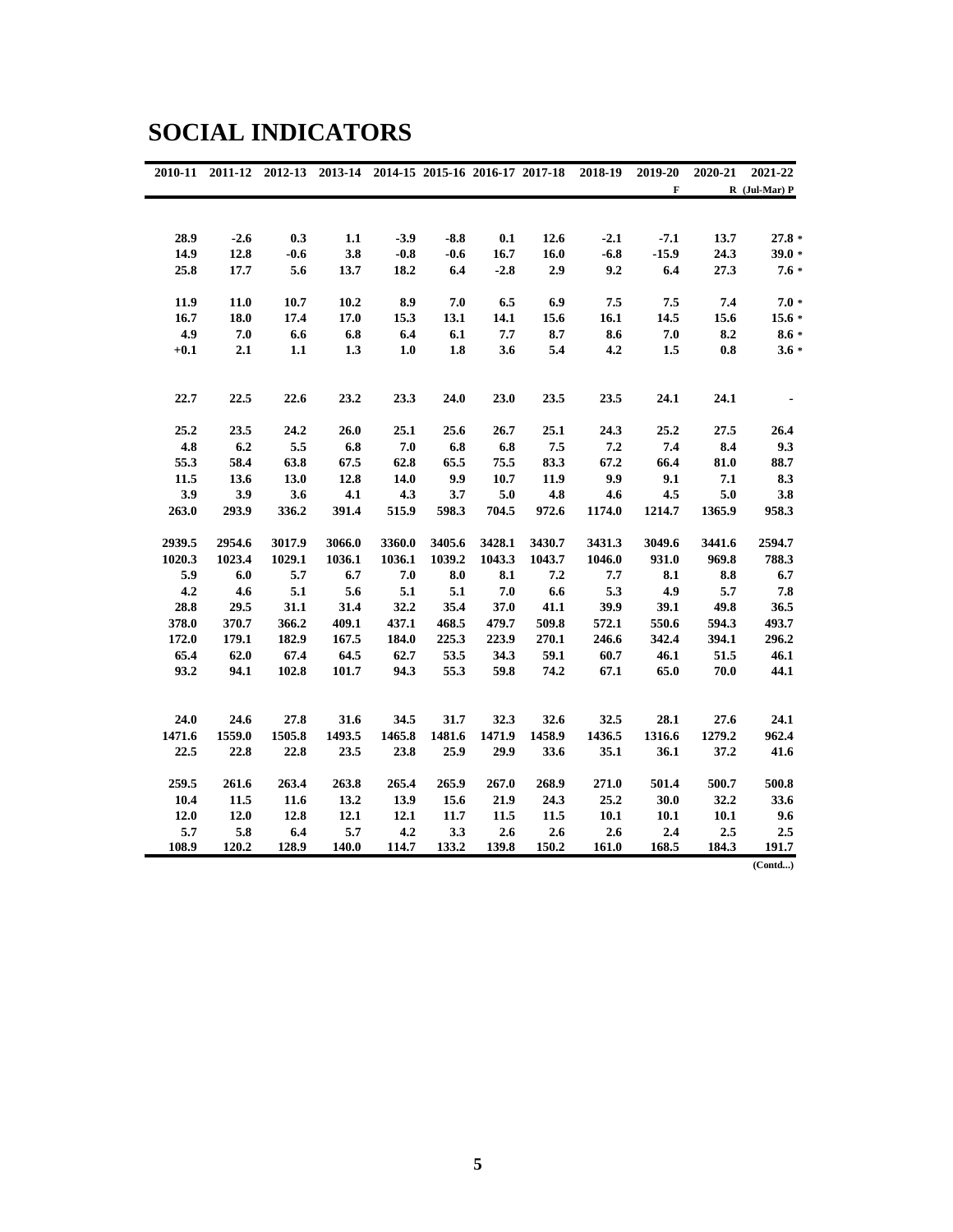#### **SOCIAL INDICATORS**

| 2010-11 | 2011-12 |        | 2012-13 2013-14 2014-15 2015-16 2016-17 2017-18 |        |        |        |        | 2018-19 | 2019-20 | 2020-21 | 2021-22           |
|---------|---------|--------|-------------------------------------------------|--------|--------|--------|--------|---------|---------|---------|-------------------|
|         |         |        |                                                 |        |        |        |        |         | F       |         | $R$ (Jul-Mar) $P$ |
|         |         |        |                                                 |        |        |        |        |         |         |         |                   |
|         |         |        |                                                 |        |        |        |        |         |         |         |                   |
| 28.9    | $-2.6$  | 0.3    | 1.1                                             | $-3.9$ | $-8.8$ | 0.1    | 12.6   | $-2.1$  | $-7.1$  | 13.7    | $27.8*$           |
| 14.9    | 12.8    | $-0.6$ | 3.8                                             | $-0.8$ | $-0.6$ | 16.7   | 16.0   | $-6.8$  | $-15.9$ | 24.3    | $39.0*$           |
| 25.8    | 17.7    | 5.6    | 13.7                                            | 18.2   | 6.4    | $-2.8$ | 2.9    | 9.2     | 6.4     | 27.3    | $7.6*$            |
| 11.9    | 11.0    | 10.7   | 10.2                                            | 8.9    | 7.0    | 6.5    | 6.9    | 7.5     | 7.5     | 7.4     | $7.0*$            |
| 16.7    | 18.0    | 17.4   | 17.0                                            | 15.3   | 13.1   | 14.1   | 15.6   | 16.1    | 14.5    | 15.6    | $15.6*$           |
| 4.9     | 7.0     | 6.6    | 6.8                                             | 6.4    | 6.1    | 7.7    | 8.7    | 8.6     | 7.0     | 8.2     | $8.6 *$           |
| $+0.1$  | 2.1     | 1.1    | 1.3                                             | 1.0    | 1.8    | 3.6    | 5.4    | 4.2     | 1.5     | 0.8     | $3.6 *$           |
|         |         |        |                                                 |        |        |        |        |         |         |         |                   |
| 22.7    | 22.5    | 22.6   | 23.2                                            | 23.3   | 24.0   | 23.0   | 23.5   | 23.5    | 24.1    | 24.1    |                   |
| 25.2    | 23.5    | 24.2   | 26.0                                            | 25.1   | 25.6   | 26.7   | 25.1   | 24.3    | 25.2    | 27.5    | 26.4              |
| 4.8     | 6.2     | 5.5    | 6.8                                             | 7.0    | 6.8    | 6.8    | 7.5    | 7.2     | 7.4     | 8.4     | 9.3               |
| 55.3    | 58.4    | 63.8   | 67.5                                            | 62.8   | 65.5   | 75.5   | 83.3   | 67.2    | 66.4    | 81.0    | 88.7              |
| 11.5    | 13.6    | 13.0   | 12.8                                            | 14.0   | 9.9    | 10.7   | 11.9   | 9.9     | 9.1     | 7.1     | 8.3               |
| 3.9     | 3.9     | 3.6    | 4.1                                             | 4.3    | 3.7    | 5.0    | 4.8    | 4.6     | 4.5     | 5.0     | 3.8               |
| 263.0   | 293.9   | 336.2  | 391.4                                           | 515.9  | 598.3  | 704.5  | 972.6  | 1174.0  | 1214.7  | 1365.9  | 958.3             |
| 2939.5  | 2954.6  | 3017.9 | 3066.0                                          | 3360.0 | 3405.6 | 3428.1 | 3430.7 | 3431.3  | 3049.6  | 3441.6  | 2594.7            |
| 1020.3  | 1023.4  | 1029.1 | 1036.1                                          | 1036.1 | 1039.2 | 1043.3 | 1043.7 | 1046.0  | 931.0   | 969.8   | 788.3             |
| 5.9     | 6.0     | 5.7    | 6.7                                             | 7.0    | 8.0    | 8.1    | 7.2    | 7.7     | 8.1     | 8.8     | 6.7               |
| 4.2     | 4.6     | 5.1    | 5.6                                             | 5.1    | 5.1    | 7.0    | 6.6    | 5.3     | 4.9     | 5.7     | 7.8               |
| 28.8    | 29.5    | 31.1   | 31.4                                            | 32.2   | 35.4   | 37.0   | 41.1   | 39.9    | 39.1    | 49.8    | 36.5              |
| 378.0   | 370.7   | 366.2  | 409.1                                           | 437.1  | 468.5  | 479.7  | 509.8  | 572.1   | 550.6   | 594.3   | 493.7             |
| 172.0   | 179.1   | 182.9  | 167.5                                           | 184.0  | 225.3  | 223.9  | 270.1  | 246.6   | 342.4   | 394.1   | 296.2             |
| 65.4    | 62.0    | 67.4   | 64.5                                            | 62.7   | 53.5   | 34.3   | 59.1   | 60.7    | 46.1    | 51.5    | 46.1              |
| 93.2    | 94.1    | 102.8  | 101.7                                           | 94.3   | 55.3   | 59.8   | 74.2   | 67.1    | 65.0    | 70.0    | 44.1              |
|         |         |        |                                                 |        |        |        |        |         |         |         |                   |
| 24.0    | 24.6    | 27.8   | 31.6                                            | 34.5   | 31.7   | 32.3   | 32.6   | 32.5    | 28.1    | 27.6    | 24.1              |
| 1471.6  | 1559.0  | 1505.8 | 1493.5                                          | 1465.8 | 1481.6 | 1471.9 | 1458.9 | 1436.5  | 1316.6  | 1279.2  | 962.4             |
| 22.5    | 22.8    | 22.8   | 23.5                                            | 23.8   | 25.9   | 29.9   | 33.6   | 35.1    | 36.1    | 37.2    | 41.6              |
| 259.5   | 261.6   | 263.4  | 263.8                                           | 265.4  | 265.9  | 267.0  | 268.9  | 271.0   | 501.4   | 500.7   | 500.8             |
| 10.4    | 11.5    | 11.6   | 13.2                                            | 13.9   | 15.6   | 21.9   | 24.3   | 25.2    | 30.0    | 32.2    | 33.6              |
| 12.0    | 12.0    | 12.8   | 12.1                                            | 12.1   | 11.7   | 11.5   | 11.5   | 10.1    | 10.1    | 10.1    | 9.6               |
| 5.7     | 5.8     | 6.4    | 5.7                                             | 4.2    | 3.3    | 2.6    | 2.6    | 2.6     | 2.4     | 2.5     | 2.5               |
| 108.9   | 120.2   | 128.9  | 140.0                                           | 114.7  | 133.2  | 139.8  | 150.2  | 161.0   | 168.5   | 184.3   | 191.7             |
|         |         |        |                                                 |        |        |        |        |         |         |         | (Cond)            |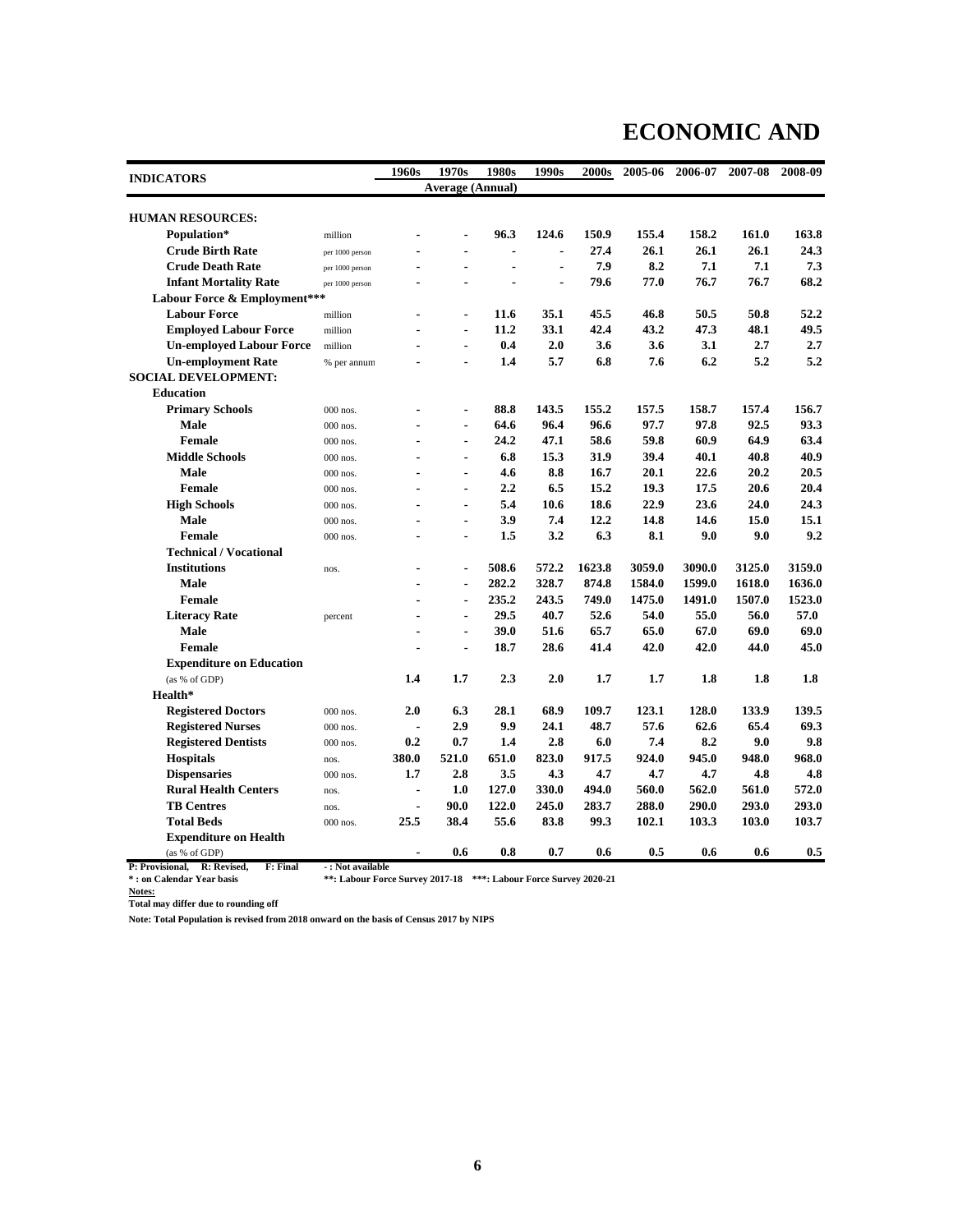#### **ECONOMIC AND**

|                                 |                 | 1960s          | 1970s                   | 1980s          | 1990s          | 2000s  | 2005-06 | 2006-07 | 2007-08 | 2008-09 |  |  |  |
|---------------------------------|-----------------|----------------|-------------------------|----------------|----------------|--------|---------|---------|---------|---------|--|--|--|
| <b>INDICATORS</b>               |                 |                | <b>Average (Annual)</b> |                |                |        |         |         |         |         |  |  |  |
| <b>HUMAN RESOURCES:</b>         |                 |                |                         |                |                |        |         |         |         |         |  |  |  |
|                                 |                 |                |                         |                |                |        |         |         |         |         |  |  |  |
| Population*                     | million         |                | ۰                       | 96.3           | 124.6          | 150.9  | 155.4   | 158.2   | 161.0   | 163.8   |  |  |  |
| <b>Crude Birth Rate</b>         | per 1000 person |                |                         | $\blacksquare$ | $\blacksquare$ | 27.4   | 26.1    | 26.1    | 26.1    | 24.3    |  |  |  |
| <b>Crude Death Rate</b>         | per 1000 person |                |                         |                | $\blacksquare$ | 7.9    | 8.2     | 7.1     | 7.1     | 7.3     |  |  |  |
| <b>Infant Mortality Rate</b>    | per 1000 person |                |                         |                | $\blacksquare$ | 79.6   | 77.0    | 76.7    | 76.7    | 68.2    |  |  |  |
| Labour Force & Employment***    |                 |                |                         |                |                |        |         |         |         |         |  |  |  |
| <b>Labour Force</b>             | million         |                | $\blacksquare$          | 11.6           | 35.1           | 45.5   | 46.8    | 50.5    | 50.8    | 52.2    |  |  |  |
| <b>Employed Labour Force</b>    | million         |                | $\blacksquare$          | 11.2           | 33.1           | 42.4   | 43.2    | 47.3    | 48.1    | 49.5    |  |  |  |
| <b>Un-employed Labour Force</b> | million         |                | $\blacksquare$          | 0.4            | 2.0            | 3.6    | 3.6     | 3.1     | 2.7     | 2.7     |  |  |  |
| <b>Un-employment Rate</b>       | % per annum     |                | $\blacksquare$          | 1.4            | 5.7            | 6.8    | 7.6     | 6.2     | 5.2     | 5.2     |  |  |  |
| <b>SOCIAL DEVELOPMENT:</b>      |                 |                |                         |                |                |        |         |         |         |         |  |  |  |
| <b>Education</b>                |                 |                |                         |                |                |        |         |         |         |         |  |  |  |
| <b>Primary Schools</b>          | 000 nos.        |                |                         | 88.8           | 143.5          | 155.2  | 157.5   | 158.7   | 157.4   | 156.7   |  |  |  |
| <b>Male</b>                     | $000$ nos.      |                | $\blacksquare$          | 64.6           | 96.4           | 96.6   | 97.7    | 97.8    | 92.5    | 93.3    |  |  |  |
| <b>Female</b>                   | 000 nos.        |                |                         | 24.2           | 47.1           | 58.6   | 59.8    | 60.9    | 64.9    | 63.4    |  |  |  |
| <b>Middle Schools</b>           | 000 nos.        |                | $\blacksquare$          | 6.8            | 15.3           | 31.9   | 39.4    | 40.1    | 40.8    | 40.9    |  |  |  |
| <b>Male</b>                     | 000 nos.        |                |                         | 4.6            | 8.8            | 16.7   | 20.1    | 22.6    | 20.2    | 20.5    |  |  |  |
| <b>Female</b>                   | 000 nos.        |                | $\blacksquare$          | 2.2            | 6.5            | 15.2   | 19.3    | 17.5    | 20.6    | 20.4    |  |  |  |
| <b>High Schools</b>             | 000 nos.        |                | $\blacksquare$          | 5.4            | 10.6           | 18.6   | 22.9    | 23.6    | 24.0    | 24.3    |  |  |  |
| <b>Male</b>                     | 000 nos.        |                | $\blacksquare$          | 3.9            | 7.4            | 12.2   | 14.8    | 14.6    | 15.0    | 15.1    |  |  |  |
| Female                          | 000 nos.        |                | $\blacksquare$          | 1.5            | 3.2            | 6.3    | 8.1     | 9.0     | 9.0     | 9.2     |  |  |  |
| <b>Technical / Vocational</b>   |                 |                |                         |                |                |        |         |         |         |         |  |  |  |
| <b>Institutions</b>             | nos.            | $\blacksquare$ | ۰                       | 508.6          | 572.2          | 1623.8 | 3059.0  | 3090.0  | 3125.0  | 3159.0  |  |  |  |
| <b>Male</b>                     |                 |                | $\blacksquare$          | 282.2          | 328.7          | 874.8  | 1584.0  | 1599.0  | 1618.0  | 1636.0  |  |  |  |
| Female                          |                 |                | $\blacksquare$          | 235.2          | 243.5          | 749.0  | 1475.0  | 1491.0  | 1507.0  | 1523.0  |  |  |  |
| <b>Literacy Rate</b>            | percent         |                | $\blacksquare$          | 29.5           | 40.7           | 52.6   | 54.0    | 55.0    | 56.0    | 57.0    |  |  |  |
| <b>Male</b>                     |                 |                | $\blacksquare$          | 39.0           | 51.6           | 65.7   | 65.0    | 67.0    | 69.0    | 69.0    |  |  |  |
| Female                          |                 |                | $\blacksquare$          | 18.7           | 28.6           | 41.4   | 42.0    | 42.0    | 44.0    | 45.0    |  |  |  |
| <b>Expenditure on Education</b> |                 |                |                         |                |                |        |         |         |         |         |  |  |  |
| (as % of GDP)                   |                 | 1.4            | 1.7                     | 2.3            | 2.0            | 1.7    | 1.7     | 1.8     | 1.8     | 1.8     |  |  |  |
| Health*                         |                 |                |                         |                |                |        |         |         |         |         |  |  |  |
| <b>Registered Doctors</b>       | 000 nos.        | 2.0            | 6.3                     | 28.1           | 68.9           | 109.7  | 123.1   | 128.0   | 133.9   | 139.5   |  |  |  |
| <b>Registered Nurses</b>        | $000$ nos.      |                | 2.9                     | 9.9            | 24.1           | 48.7   | 57.6    | 62.6    | 65.4    | 69.3    |  |  |  |
| <b>Registered Dentists</b>      | 000 nos.        | 0.2            | 0.7                     | 1.4            | 2.8            | 6.0    | 7.4     | 8.2     | 9.0     | 9.8     |  |  |  |
| <b>Hospitals</b>                | nos.            | 380.0          | 521.0                   | 651.0          | 823.0          | 917.5  | 924.0   | 945.0   | 948.0   | 968.0   |  |  |  |
| <b>Dispensaries</b>             | $000$ nos.      | 1.7            | 2.8                     | 3.5            | 4.3            | 4.7    | 4.7     | 4.7     | 4.8     | 4.8     |  |  |  |
| <b>Rural Health Centers</b>     | nos.            |                | 1.0                     | 127.0          | 330.0          | 494.0  | 560.0   | 562.0   | 561.0   | 572.0   |  |  |  |
| <b>TB Centres</b>               | nos.            |                | 90.0                    | 122.0          | 245.0          | 283.7  | 288.0   | 290.0   | 293.0   | 293.0   |  |  |  |
| <b>Total Beds</b>               | 000 nos.        | 25.5           | 38.4                    | 55.6           | 83.8           | 99.3   | 102.1   | 103.3   | 103.0   | 103.7   |  |  |  |
| <b>Expenditure on Health</b>    |                 |                |                         |                |                |        |         |         |         |         |  |  |  |
| (as % of GDP)                   |                 |                | 0.6                     | $0.8\,$        | 0.7            | 0.6    | 0.5     | 0.6     | 0.6     | 0.5     |  |  |  |

**P: Provisional, R: Revised, F: Final**  $\cdot$  **: Not available**<br>\* : on Calendar Year basis \*\*\* Labour Forc **\*\*: Labour Force Survey 2017-18 \*\*\*: Labour Force Survey 2020-21** 

**Notes:**

**Total may differ due to rounding off**

**Note: Total Population is revised from 2018 onward on the basis of Census 2017 by NIPS**